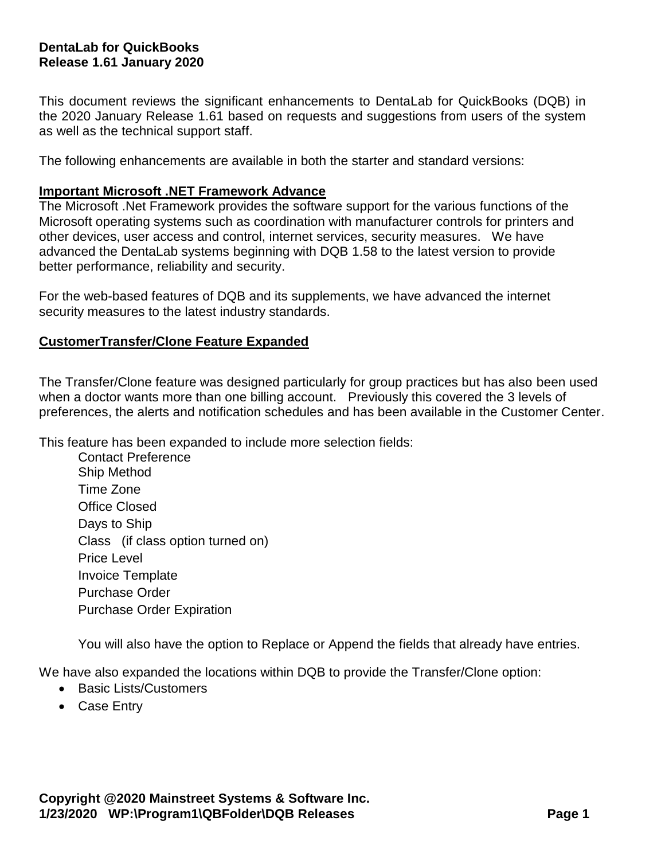# **DentaLab for QuickBooks Release 1.61 January 2020**

This document reviews the significant enhancements to DentaLab for QuickBooks (DQB) in the 2020 January Release 1.61 based on requests and suggestions from users of the system as well as the technical support staff.

The following enhancements are available in both the starter and standard versions:

#### **Important Microsoft .NET Framework Advance**

The Microsoft .Net Framework provides the software support for the various functions of the Microsoft operating systems such as coordination with manufacturer controls for printers and other devices, user access and control, internet services, security measures. We have advanced the DentaLab systems beginning with DQB 1.58 to the latest version to provide better performance, reliability and security.

For the web-based features of DQB and its supplements, we have advanced the internet security measures to the latest industry standards.

#### **CustomerTransfer/Clone Feature Expanded**

The Transfer/Clone feature was designed particularly for group practices but has also been used when a doctor wants more than one billing account. Previously this covered the 3 levels of preferences, the alerts and notification schedules and has been available in the Customer Center.

This feature has been expanded to include more selection fields:

Contact Preference Ship Method Time Zone Office Closed Days to Ship Class (if class option turned on) Price Level Invoice Template Purchase Order Purchase Order Expiration

You will also have the option to Replace or Append the fields that already have entries.

We have also expanded the locations within DQB to provide the Transfer/Clone option:

- Basic Lists/Customers
- Case Entry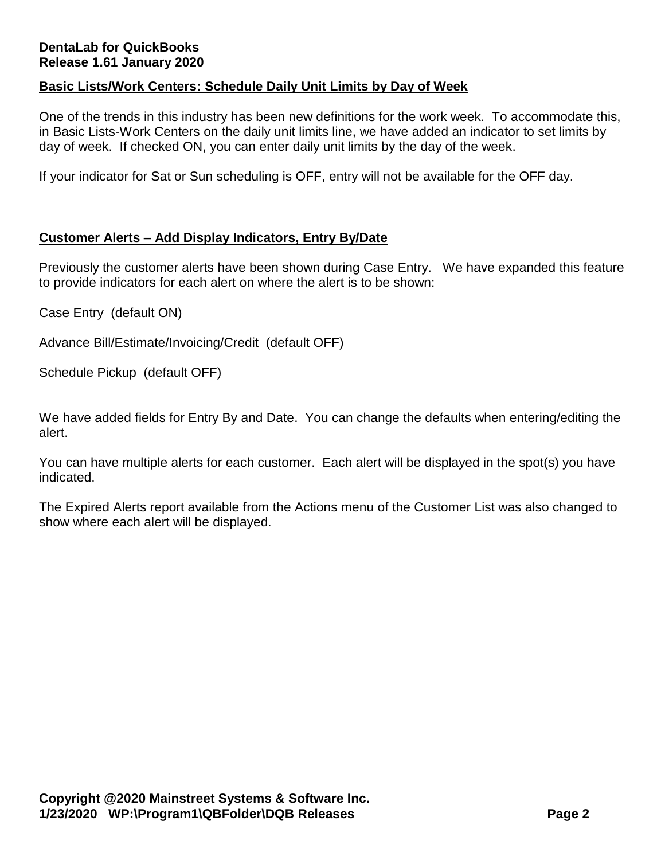# **DentaLab for QuickBooks Release 1.61 January 2020**

# **Basic Lists/Work Centers: Schedule Daily Unit Limits by Day of Week**

One of the trends in this industry has been new definitions for the work week. To accommodate this, in Basic Lists-Work Centers on the daily unit limits line, we have added an indicator to set limits by day of week. If checked ON, you can enter daily unit limits by the day of the week.

If your indicator for Sat or Sun scheduling is OFF, entry will not be available for the OFF day.

# **Customer Alerts – Add Display Indicators, Entry By/Date**

Previously the customer alerts have been shown during Case Entry. We have expanded this feature to provide indicators for each alert on where the alert is to be shown:

Case Entry (default ON)

Advance Bill/Estimate/Invoicing/Credit (default OFF)

Schedule Pickup (default OFF)

We have added fields for Entry By and Date. You can change the defaults when entering/editing the alert.

You can have multiple alerts for each customer. Each alert will be displayed in the spot(s) you have indicated.

The Expired Alerts report available from the Actions menu of the Customer List was also changed to show where each alert will be displayed.